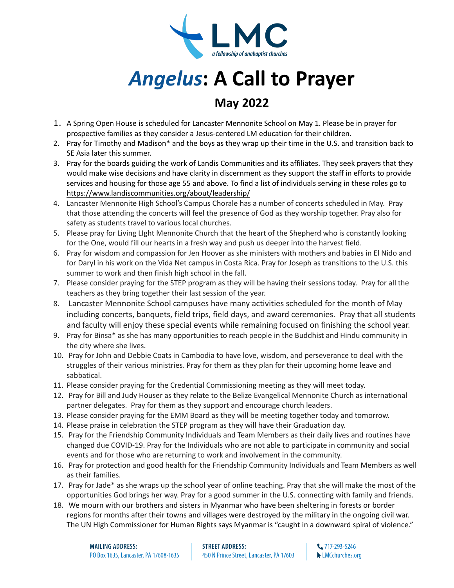

## *Angelus***: A Call to Prayer**

## **May 2022**

- 1. A Spring Open House is scheduled for Lancaster Mennonite School on May 1. Please be in prayer for prospective families as they consider a Jesus-centered LM education for their children.
- 2. Pray for Timothy and Madison\* and the boys as they wrap up their time in the U.S. and transition back to SE Asia later this summer.
- 3. Pray for the boards guiding the work of Landis Communities and its affiliates. They seek prayers that they would make wise decisions and have clarity in discernment as they support the staff in efforts to provide services and housing for those age 55 and above. To find a list of individuals serving in these roles go to <https://www.landiscommunities.org/about/leadership/>
- 4. Lancaster Mennonite High School's Campus Chorale has a number of concerts scheduled in May. Pray that those attending the concerts will feel the presence of God as they worship together. Pray also for safety as students travel to various local churches.
- 5. Please pray for Living LIght Mennonite Church that the heart of the Shepherd who is constantly looking for the One, would fill our hearts in a fresh way and push us deeper into the harvest field.
- 6. Pray for wisdom and compassion for Jen Hoover as she ministers with mothers and babies in El Nido and for Daryl in his work on the Vida Net campus in Costa Rica. Pray for Joseph as transitions to the U.S. this summer to work and then finish high school in the fall.
- 7. Please consider praying for the STEP program as they will be having their sessions today. Pray for all the teachers as they bring together their last session of the year.
- 8. Lancaster Mennonite School campuses have many activities scheduled for the month of May including concerts, banquets, field trips, field days, and award ceremonies. Pray that all students and faculty will enjoy these special events while remaining focused on finishing the school year.
- 9. Pray for Binsa\* as she has many opportunities to reach people in the Buddhist and Hindu community in the city where she lives.
- 10. Pray for John and Debbie Coats in Cambodia to have love, wisdom, and perseverance to deal with the struggles of their various ministries. Pray for them as they plan for their upcoming home leave and sabbatical.
- 11. Please consider praying for the Credential Commissioning meeting as they will meet today.
- 12. Pray for Bill and Judy Houser as they relate to the Belize Evangelical Mennonite Church as international partner delegates. Pray for them as they support and encourage church leaders.
- 13. Please consider praying for the EMM Board as they will be meeting together today and tomorrow.
- 14. Please praise in celebration the STEP program as they will have their Graduation day.
- 15. Pray for the Friendship Community Individuals and Team Members as their daily lives and routines have changed due COVID-19. Pray for the Individuals who are not able to participate in community and social events and for those who are returning to work and involvement in the community.
- 16. Pray for protection and good health for the Friendship Community Individuals and Team Members as well as their families.
- 17. Pray for Jade\* as she wraps up the school year of online teaching. Pray that she will make the most of the opportunities God brings her way. Pray for a good summer in the U.S. connecting with family and friends.
- 18. We mourn with our brothers and sisters in Myanmar who have been sheltering in forests or border regions for months after their towns and villages were destroyed by the military in the ongoing civil war. The UN High Commissioner for Human Rights says Myanmar is "caught in a downward spiral of violence."